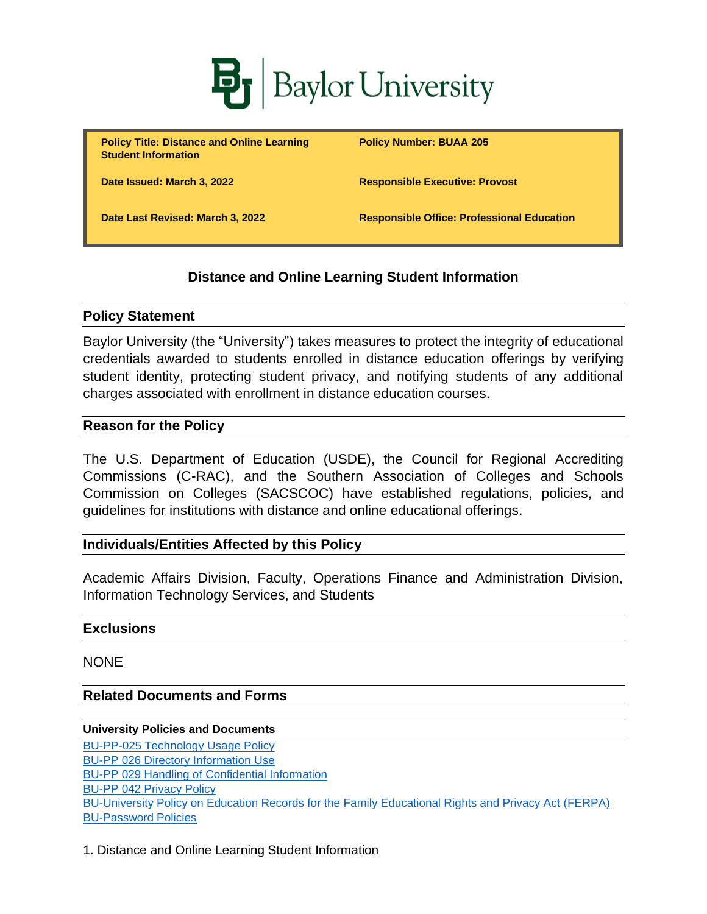

**Policy Title: Distance and Online Learning Student Information**

**Policy Number: BUAA 205**

**Date Issued: March 3, 2022 Responsible Executive: Provost**

**Date Last Revised: March 3, 2022 Responsible Office: Professional Education**

# **Distance and Online Learning Student Information**

### **Policy Statement**

Baylor University (the "University") takes measures to protect the integrity of educational credentials awarded to students enrolled in distance education offerings by verifying student identity, protecting student privacy, and notifying students of any additional charges associated with enrollment in distance education courses.

## **Reason for the Policy**

The U.S. Department of Education (USDE), the Council for Regional Accrediting Commissions (C-RAC), and the Southern Association of Colleges and Schools Commission on Colleges (SACSCOC) have established regulations, policies, and guidelines for institutions with distance and online educational offerings.

## **Individuals/Entities Affected by this Policy**

Academic Affairs Division, Faculty, Operations Finance and Administration Division, Information Technology Services, and Students

### **Exclusions**

**NONE** 

## **Related Documents and Forms**

### **University Policies and Documents**

[BU-PP-025 Technology Usage Policy](https://www.baylor.edu/risk/doc.php/339230.pdf) [BU-PP 026 Directory Information Use](https://www.baylor.edu/risk/doc.php/339231.pdf) BU-PP 029 Handling of [Confidential Information](https://www.baylor.edu/risk/doc.php/339235.pdf) [BU-PP 042 Privacy Policy](https://www.baylor.edu/risk/doc.php/348989.pdf) [BU-University Policy on Education Records for the Family Educational Rights and Privacy Act](https://www.baylor.edu/risk/doc.php/343042.pdf) (FERPA) [BU-Password Policies](https://www.baylor.edu/risk/doc.php/341713.pdf)

1. Distance and Online Learning Student Information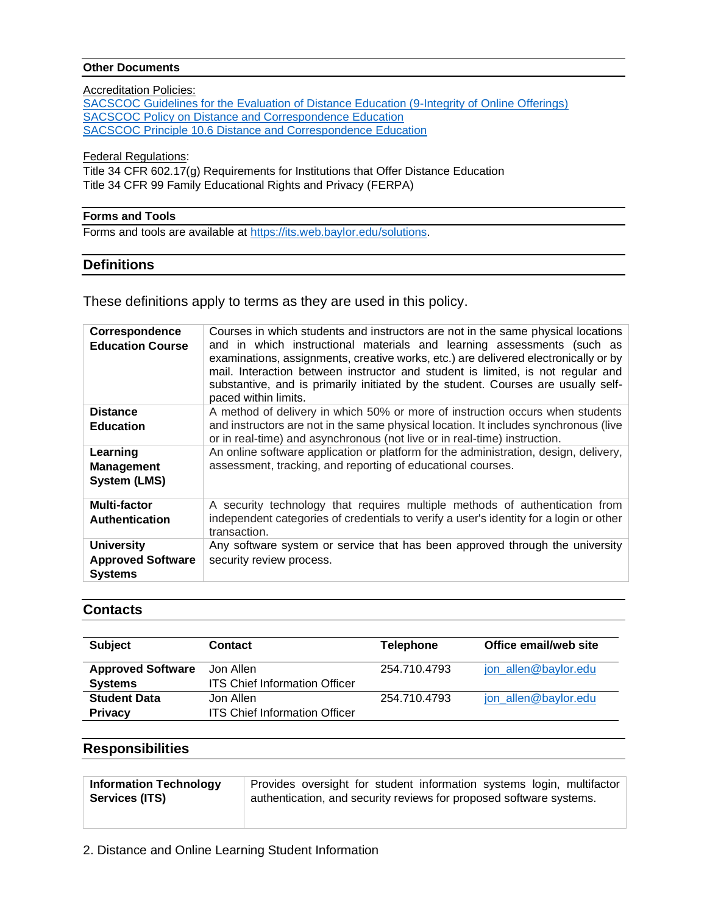#### **Other Documents**

Accreditation Policies:

[SACSCOC Guidelines for the Evaluation of Distance Education \(9-Integrity of Online Offerings\)](https://sacscoc.org/app/uploads/2020/09/Guidelines-for-Evaluation-of-Distance-Education.pdf) [SACSCOC Policy on Distance and Correspondence Education](http://sacscoc.org/app/uploads/2019/07/DistanceCorrespondenceEducation.pdf) SACSCOC Principle 10.6 [Distance and Correspondence Education](http://sacscoc.org/app/uploads/2019/08/2018PrinciplesOfAcreditation.pdf)

Federal Regulations:

Title 34 CFR 602.17(g) Requirements for Institutions that Offer Distance Education Title 34 CFR 99 Family Educational Rights and Privacy (FERPA)

### **Forms and Tools**

Forms and tools are available at [https://its.web.baylor.edu/solutions.](https://its.web.baylor.edu/solutions)

### **Definitions**

These definitions apply to terms as they are used in this policy.

| Correspondence<br><b>Education Course</b>                       | Courses in which students and instructors are not in the same physical locations<br>and in which instructional materials and learning assessments (such as<br>examinations, assignments, creative works, etc.) are delivered electronically or by<br>mail. Interaction between instructor and student is limited, is not regular and<br>substantive, and is primarily initiated by the student. Courses are usually self-<br>paced within limits. |
|-----------------------------------------------------------------|---------------------------------------------------------------------------------------------------------------------------------------------------------------------------------------------------------------------------------------------------------------------------------------------------------------------------------------------------------------------------------------------------------------------------------------------------|
| <b>Distance</b><br><b>Education</b>                             | A method of delivery in which 50% or more of instruction occurs when students<br>and instructors are not in the same physical location. It includes synchronous (live                                                                                                                                                                                                                                                                             |
|                                                                 | or in real-time) and asynchronous (not live or in real-time) instruction.                                                                                                                                                                                                                                                                                                                                                                         |
| Learning<br><b>Management</b><br>System (LMS)                   | An online software application or platform for the administration, design, delivery,<br>assessment, tracking, and reporting of educational courses.                                                                                                                                                                                                                                                                                               |
| Multi-factor<br><b>Authentication</b>                           | A security technology that requires multiple methods of authentication from<br>independent categories of credentials to verify a user's identity for a login or other<br>transaction.                                                                                                                                                                                                                                                             |
| <b>University</b><br><b>Approved Software</b><br><b>Systems</b> | Any software system or service that has been approved through the university<br>security review process.                                                                                                                                                                                                                                                                                                                                          |

### **Contacts**

| <b>Subject</b>           | Contact                              | <b>Telephone</b> | Office email/web site |
|--------------------------|--------------------------------------|------------------|-----------------------|
| <b>Approved Software</b> | Jon Allen                            | 254.710.4793     | jon allen@baylor.edu  |
| <b>Systems</b>           | <b>ITS Chief Information Officer</b> |                  |                       |
| <b>Student Data</b>      | Jon Allen                            | 254.710.4793     | jon_allen@baylor.edu  |
| <b>Privacy</b>           | <b>ITS Chief Information Officer</b> |                  |                       |

### **Responsibilities**

| <b>Information Technology</b> | Provides oversight for student information systems login, multifactor |  |  |
|-------------------------------|-----------------------------------------------------------------------|--|--|
| Services (ITS)                | authentication, and security reviews for proposed software systems.   |  |  |
|                               |                                                                       |  |  |

2. Distance and Online Learning Student Information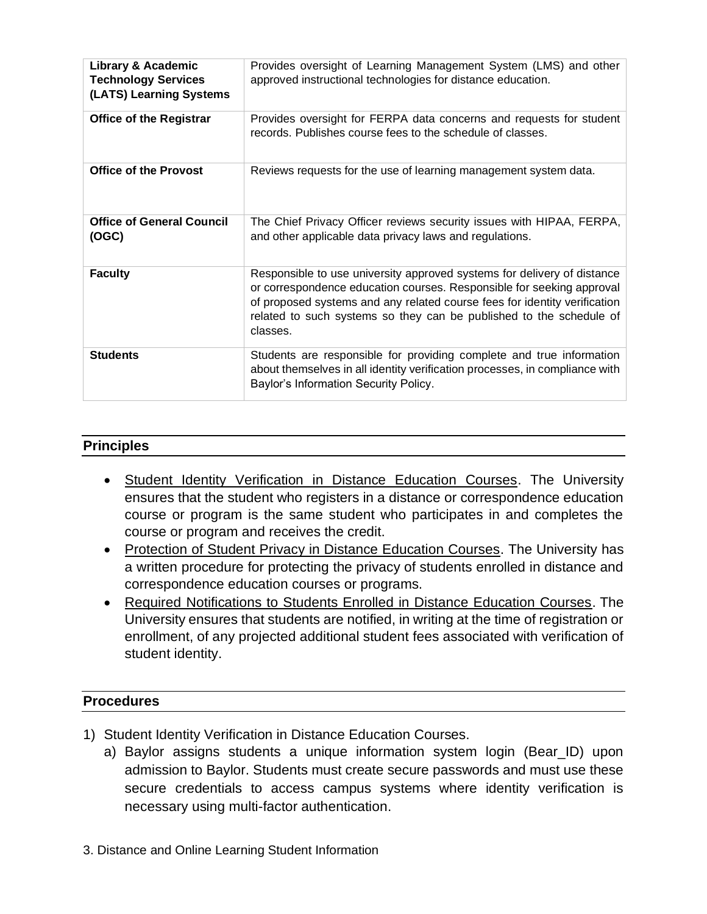| Library & Academic<br><b>Technology Services</b><br>(LATS) Learning Systems | Provides oversight of Learning Management System (LMS) and other<br>approved instructional technologies for distance education.                                                                                                                                                                                  |
|-----------------------------------------------------------------------------|------------------------------------------------------------------------------------------------------------------------------------------------------------------------------------------------------------------------------------------------------------------------------------------------------------------|
| <b>Office of the Registrar</b>                                              | Provides oversight for FERPA data concerns and requests for student<br>records. Publishes course fees to the schedule of classes.                                                                                                                                                                                |
| <b>Office of the Provost</b>                                                | Reviews requests for the use of learning management system data.                                                                                                                                                                                                                                                 |
| <b>Office of General Council</b><br>(OGC)                                   | The Chief Privacy Officer reviews security issues with HIPAA, FERPA,<br>and other applicable data privacy laws and regulations.                                                                                                                                                                                  |
| <b>Faculty</b>                                                              | Responsible to use university approved systems for delivery of distance<br>or correspondence education courses. Responsible for seeking approval<br>of proposed systems and any related course fees for identity verification<br>related to such systems so they can be published to the schedule of<br>classes. |
| <b>Students</b>                                                             | Students are responsible for providing complete and true information<br>about themselves in all identity verification processes, in compliance with<br>Baylor's Information Security Policy.                                                                                                                     |

# **Principles**

- Student Identity Verification in Distance Education Courses. The University ensures that the student who registers in a distance or correspondence education course or program is the same student who participates in and completes the course or program and receives the credit.
- Protection of Student Privacy in Distance Education Courses. The University has a written procedure for protecting the privacy of students enrolled in distance and correspondence education courses or programs.
- Required Notifications to Students Enrolled in Distance Education Courses. The University ensures that students are notified, in writing at the time of registration or enrollment, of any projected additional student fees associated with verification of student identity.

# **Procedures**

- 1) Student Identity Verification in Distance Education Courses.
	- a) Baylor assigns students a unique information system login (Bear\_ID) upon admission to Baylor. Students must create secure passwords and must use these secure credentials to access campus systems where identity verification is necessary using multi-factor authentication.
- 3. Distance and Online Learning Student Information